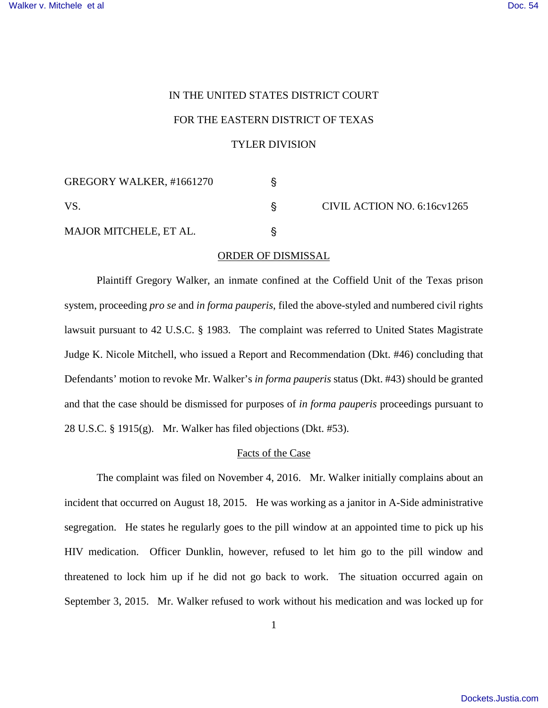# IN THE UNITED STATES DISTRICT COURT FOR THE EASTERN DISTRICT OF TEXAS TYLER DIVISION

| GREGORY WALKER, #1661270      |  | CIVIL ACTION NO. 6:16cv1265 |
|-------------------------------|--|-----------------------------|
| VS                            |  |                             |
| <b>MAJOR MITCHELE, ET AL.</b> |  |                             |

## ORDER OF DISMISSAL

Plaintiff Gregory Walker, an inmate confined at the Coffield Unit of the Texas prison system, proceeding *pro se* and *in forma pauperis*, filed the above-styled and numbered civil rights lawsuit pursuant to 42 U.S.C. § 1983. The complaint was referred to United States Magistrate Judge K. Nicole Mitchell, who issued a Report and Recommendation (Dkt. #46) concluding that Defendants' motion to revoke Mr. Walker's *in forma pauperis* status (Dkt. #43) should be granted and that the case should be dismissed for purposes of *in forma pauperis* proceedings pursuant to 28 U.S.C. § 1915(g). Mr. Walker has filed objections (Dkt. #53).

## Facts of the Case

The complaint was filed on November 4, 2016. Mr. Walker initially complains about an incident that occurred on August 18, 2015. He was working as a janitor in A-Side administrative segregation. He states he regularly goes to the pill window at an appointed time to pick up his HIV medication. Officer Dunklin, however, refused to let him go to the pill window and threatened to lock him up if he did not go back to work. The situation occurred again on September 3, 2015. Mr. Walker refused to work without his medication and was locked up for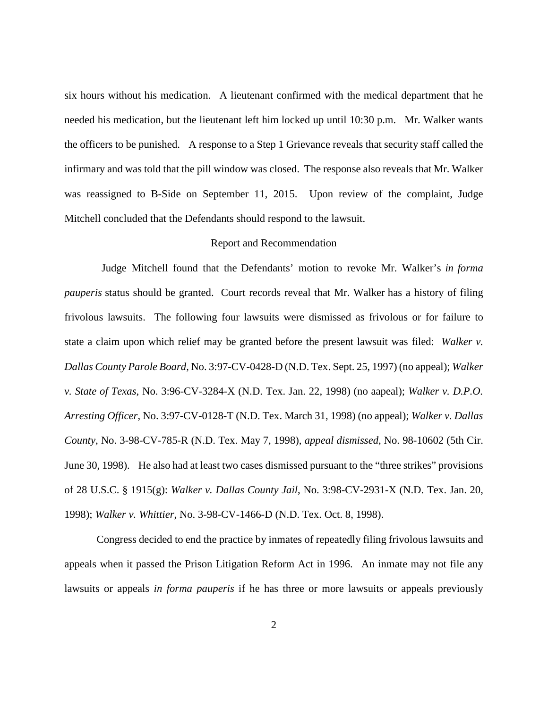six hours without his medication. A lieutenant confirmed with the medical department that he needed his medication, but the lieutenant left him locked up until 10:30 p.m. Mr. Walker wants the officers to be punished. A response to a Step 1 Grievance reveals that security staff called the infirmary and was told that the pill window was closed. The response also reveals that Mr. Walker was reassigned to B-Side on September 11, 2015. Upon review of the complaint, Judge Mitchell concluded that the Defendants should respond to the lawsuit.

#### Report and Recommendation

 Judge Mitchell found that the Defendants' motion to revoke Mr. Walker's *in forma pauperis* status should be granted. Court records reveal that Mr. Walker has a history of filing frivolous lawsuits. The following four lawsuits were dismissed as frivolous or for failure to state a claim upon which relief may be granted before the present lawsuit was filed: *Walker v. Dallas County Parole Board,* No. 3:97-CV-0428-D (N.D. Tex. Sept. 25, 1997) (no appeal); *Walker v. State of Texas*, No. 3:96-CV-3284-X (N.D. Tex. Jan. 22, 1998) (no aapeal); *Walker v. D.P.O. Arresting Officer*, No. 3:97-CV-0128-T (N.D. Tex. March 31, 1998) (no appeal); *Walker v. Dallas County*, No. 3-98-CV-785-R (N.D. Tex. May 7, 1998), *appeal dismissed*, No. 98-10602 (5th Cir. June 30, 1998). He also had at least two cases dismissed pursuant to the "three strikes" provisions of 28 U.S.C. § 1915(g): *Walker v. Dallas County Jail*, No. 3:98-CV-2931-X (N.D. Tex. Jan. 20, 1998); *Walker v. Whittier*, No. 3-98-CV-1466-D (N.D. Tex. Oct. 8, 1998).

Congress decided to end the practice by inmates of repeatedly filing frivolous lawsuits and appeals when it passed the Prison Litigation Reform Act in 1996. An inmate may not file any lawsuits or appeals *in forma pauperis* if he has three or more lawsuits or appeals previously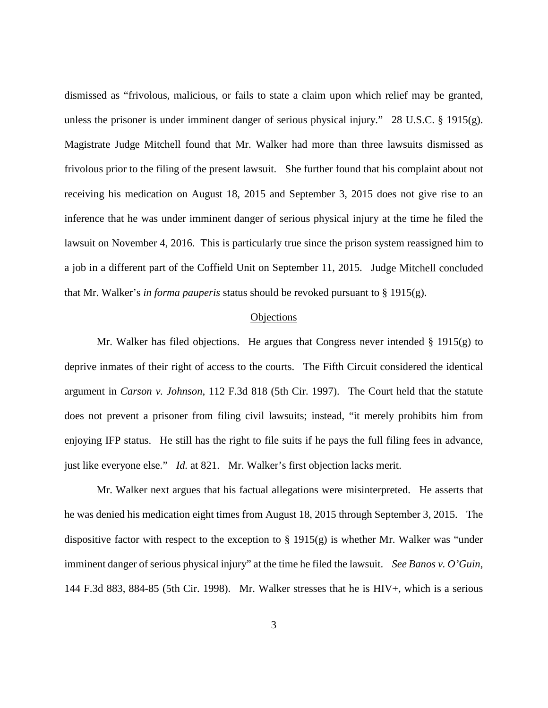dismissed as "frivolous, malicious, or fails to state a claim upon which relief may be granted, unless the prisoner is under imminent danger of serious physical injury." 28 U.S.C.  $\S$  1915(g). Magistrate Judge Mitchell found that Mr. Walker had more than three lawsuits dismissed as frivolous prior to the filing of the present lawsuit. She further found that his complaint about not receiving his medication on August 18, 2015 and September 3, 2015 does not give rise to an inference that he was under imminent danger of serious physical injury at the time he filed the lawsuit on November 4, 2016. This is particularly true since the prison system reassigned him to a job in a different part of the Coffield Unit on September 11, 2015. Judge Mitchell concluded that Mr. Walker's *in forma pauperis* status should be revoked pursuant to § 1915(g).

### **Objections**

Mr. Walker has filed objections. He argues that Congress never intended  $\S$  1915(g) to deprive inmates of their right of access to the courts. The Fifth Circuit considered the identical argument in *Carson v. Johnson*, 112 F.3d 818 (5th Cir. 1997). The Court held that the statute does not prevent a prisoner from filing civil lawsuits; instead, "it merely prohibits him from enjoying IFP status. He still has the right to file suits if he pays the full filing fees in advance, just like everyone else." *Id.* at 821. Mr. Walker's first objection lacks merit.

Mr. Walker next argues that his factual allegations were misinterpreted. He asserts that he was denied his medication eight times from August 18, 2015 through September 3, 2015. The dispositive factor with respect to the exception to  $\S$  1915(g) is whether Mr. Walker was "under imminent danger of serious physical injury" at the time he filed the lawsuit. *See Banos v. O'Guin*, 144 F.3d 883, 884-85 (5th Cir. 1998). Mr. Walker stresses that he is HIV+, which is a serious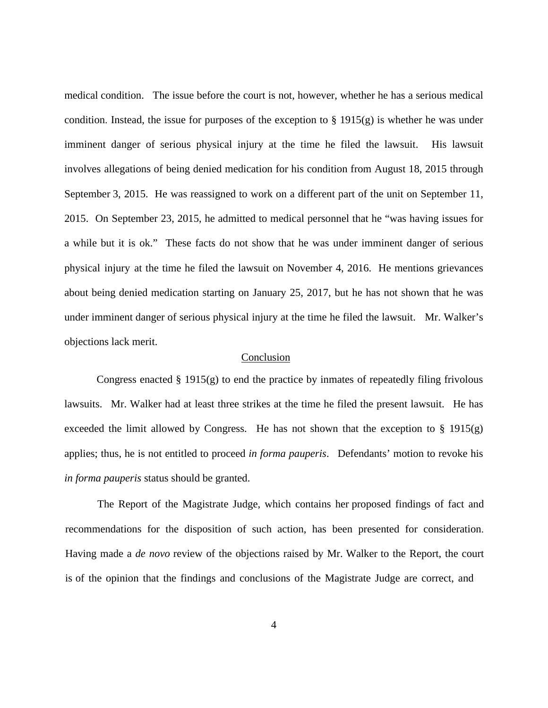medical condition. The issue before the court is not, however, whether he has a serious medical condition. Instead, the issue for purposes of the exception to  $\S$  1915(g) is whether he was under imminent danger of serious physical injury at the time he filed the lawsuit. His lawsuit involves allegations of being denied medication for his condition from August 18, 2015 through September 3, 2015. He was reassigned to work on a different part of the unit on September 11, 2015. On September 23, 2015, he admitted to medical personnel that he "was having issues for a while but it is ok." These facts do not show that he was under imminent danger of serious physical injury at the time he filed the lawsuit on November 4, 2016. He mentions grievances about being denied medication starting on January 25, 2017, but he has not shown that he was under imminent danger of serious physical injury at the time he filed the lawsuit. Mr. Walker's objections lack merit.

## Conclusion

Congress enacted  $\S 1915(g)$  to end the practice by inmates of repeatedly filing frivolous lawsuits. Mr. Walker had at least three strikes at the time he filed the present lawsuit. He has exceeded the limit allowed by Congress. He has not shown that the exception to  $\S$  1915(g) applies; thus, he is not entitled to proceed *in forma pauperis*. Defendants' motion to revoke his *in forma pauperis* status should be granted.

The Report of the Magistrate Judge, which contains her proposed findings of fact and recommendations for the disposition of such action, has been presented for consideration. Having made a *de novo* review of the objections raised by Mr. Walker to the Report, the court is of the opinion that the findings and conclusions of the Magistrate Judge are correct, and